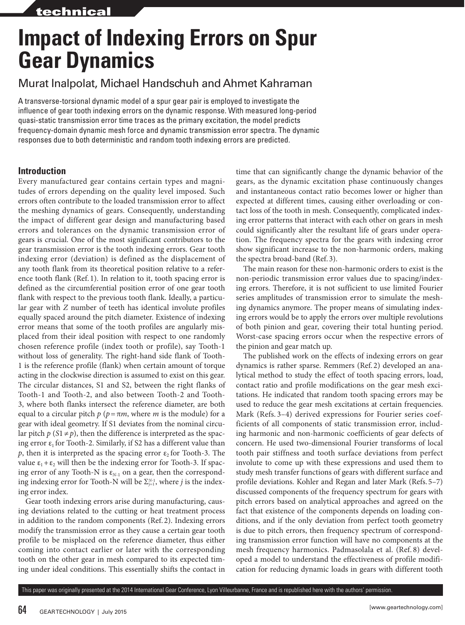# **Impact of Indexing Errors on Spur Gear Dynamics**

# Murat Inalpolat, Michael Handschuh and Ahmet Kahraman

A transverse-torsional dynamic model of a spur gear pair is employed to investigate the influence of gear tooth indexing errors on the dynamic response. With measured long-period quasi-static transmission error time traces as the primary excitation, the model predicts frequency-domain dynamic mesh force and dynamic transmission error spectra. The dynamic responses due to both deterministic and random tooth indexing errors are predicted.

# **Introduction**

Every manufactured gear contains certain types and magnitudes of errors depending on the quality level imposed. Such errors often contribute to the loaded transmission error to affect the meshing dynamics of gears. Consequently, understanding the impact of different gear design and manufacturing based errors and tolerances on the dynamic transmission error of gears is crucial. One of the most significant contributors to the gear transmission error is the tooth indexing errors. Gear tooth indexing error (deviation) is defined as the displacement of any tooth flank from its theoretical position relative to a reference tooth flank (Ref. 1). In relation to it, tooth spacing error is defined as the circumferential position error of one gear tooth flank with respect to the previous tooth flank. Ideally, a particular gear with *Z* number of teeth has identical involute profiles equally spaced around the pitch diameter. Existence of indexing error means that some of the tooth profiles are angularly misplaced from their ideal position with respect to one randomly chosen reference profile (index tooth or profile), say Tooth-1 without loss of generality. The right-hand side flank of Tooth-1 is the reference profile (flank) when certain amount of torque acting in the clockwise direction is assumed to exist on this gear. The circular distances, S1 and S2, between the right flanks of Tooth-1 and Tooth-2, and also between Tooth-2 and Tooth-3, where both flanks intersect the reference diameter, are both equal to a circular pitch  $p$  ( $p = \pi m$ , where *m* is the module) for a gear with ideal geometry. If S1 deviates from the nominal circular pitch  $p(S1 \neq p)$ , then the difference is interpreted as the spacing error  $\varepsilon_1$  for Tooth-2. Similarly, if S2 has a different value than *p*, then it is interpreted as the spacing error  $\varepsilon_2$  for Tooth-3. The value  $\varepsilon_1 + \varepsilon_2$  will then be the indexing error for Tooth-3. If spacing error of any Tooth-N is  $\varepsilon_{N-1}$  on a gear, then the corresponding indexing error for Tooth-N will be  $\Sigma_{j=1}^{N-1}$ , where *j* is the indexing error index.

Gear tooth indexing errors arise during manufacturing, causing deviations related to the cutting or heat treatment process in addition to the random components (Ref. 2). Indexing errors modify the transmission error as they cause a certain gear tooth profile to be misplaced on the reference diameter, thus either coming into contact earlier or later with the corresponding tooth on the other gear in mesh compared to its expected timing under ideal conditions. This essentially shifts the contact in

time that can significantly change the dynamic behavior of the gears, as the dynamic excitation phase continuously changes and instantaneous contact ratio becomes lower or higher than expected at different times, causing either overloading or contact loss of the tooth in mesh. Consequently, complicated indexing error patterns that interact with each other on gears in mesh could significantly alter the resultant life of gears under operation. The frequency spectra for the gears with indexing error show significant increase to the non-harmonic orders, making the spectra broad-band (Ref. 3).

The main reason for these non-harmonic orders to exist is the non-periodic transmission error values due to spacing/indexing errors. Therefore, it is not sufficient to use limited Fourier series amplitudes of transmission error to simulate the meshing dynamics anymore. The proper means of simulating indexing errors would be to apply the errors over multiple revolutions of both pinion and gear, covering their total hunting period. Worst-case spacing errors occur when the respective errors of the pinion and gear match up.

The published work on the effects of indexing errors on gear dynamics is rather sparse. Remmers (Ref. 2) developed an analytical method to study the effect of tooth spacing errors, load, contact ratio and profile modifications on the gear mesh excitations. He indicated that random tooth spacing errors may be used to reduce the gear mesh excitations at certain frequencies. Mark (Refs. 3–4) derived expressions for Fourier series coefficients of all components of static transmission error, including harmonic and non-harmonic coefficients of gear defects of concern. He used two-dimensional Fourier transforms of local tooth pair stiffness and tooth surface deviations from perfect involute to come up with these expressions and used them to study mesh transfer functions of gears with different surface and profile deviations. Kohler and Regan and later Mark (Refs. 5–7) discussed components of the frequency spectrum for gears with pitch errors based on analytical approaches and agreed on the fact that existence of the components depends on loading conditions, and if the only deviation from perfect tooth geometry is due to pitch errors, then frequency spectrum of corresponding transmission error function will have no components at the mesh frequency harmonics. Padmasolala et al. (Ref. 8) developed a model to understand the effectiveness of profile modification for reducing dynamic loads in gears with different tooth

This paper was originally presented at the 2014 International Gear Conference, Lyon Villeurbanne, France and is republished here with the authors' permission.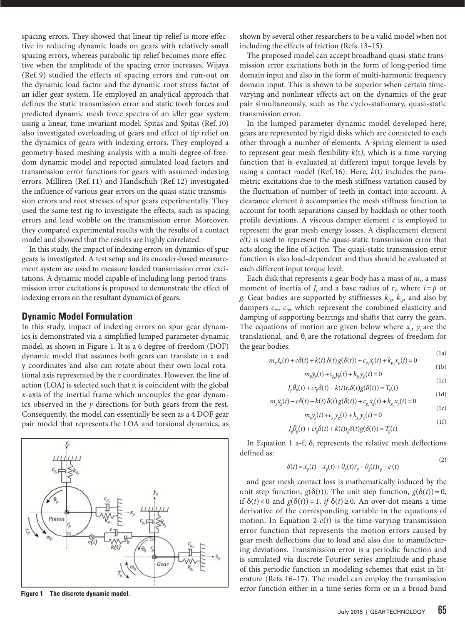spacing errors. They showed that linear tip relief is more effective in reducing dynamic loads on gears with relatively small spacing errors, whereas parabolic tip relief becomes more effective when the amplitude of the spacing error increases. Wijaya (Ref. 9) studied the effects of spacing errors and run-out on the dynamic load factor and the dynamic root stress factor of an idler gear system. He employed an analytical approach that defines the static transmission error and static tooth forces and predicted dynamic mesh force spectra of an idler gear system using a linear, time-invariant model. Spitas and Spitas (Ref. 10) also investigated overloading of gears and effect of tip relief on the dynamics of gears with indexing errors. They employed a geometry-based meshing analysis with a multi-degree-of-freedom dynamic model and reported simulated load factors and transmission error functions for gears with assumed indexing errors. Milliren (Ref. 11) and Handschuh (Ref. 12) investigated the influence of various gear errors on the quasi-static transmission errors and root stresses of spur gears experimentally. They used the same test rig to investigate the effects, such as spacing errors and lead wobble on the transmission error. Moreover, they compared experimental results with the results of a contact model and showed that the results are highly correlated.

In this study, the impact of indexing errors on dynamics of spur gears is investigated. A test setup and its encoder-based measurement system are used to measure loaded transmission error excitations. A dynamic model capable of including long-period transmission error excitations is proposed to demonstrate the effect of indexing errors on the resultant dynamics of gears.

## **Dynamic Model Formulation**

In this study, impact of indexing errors on spur gear dynamics is demonstrated via a simplified lumped parameter dynamic model, as shown in Figure 1. It is a 6 degree-of-freedom (DOF) dynamic model that assumes both gears can translate in x and y coordinates and also can rotate about their own local rotational axis represented by the *z* coordinates. However, the line of action (LOA) is selected such that it is coincident with the global *x*-axis of the inertial frame which uncouples the gear dynamics observed in the *y* directions for both gears from the rest. Consequently, the model can essentially be seen as a 4 DOF gear pair model that represents the LOA and torsional dynamics, as



shown by several other researchers to be a valid model when not including the effects of friction (Refs. 13–15).

The proposed model can accept broadband quasi-static transmission error excitations both in the form of long-period time domain input and also in the form of multi-harmonic frequency domain input. This is shown to be superior when certain timevarying and nonlinear effects act on the dynamics of the gear pair simultaneously, such as the cyclo-stationary, quasi-static transmission error.

In the lumped parameter dynamic model developed here, gears are represented by rigid disks which are connected to each other through a number of elements. A spring element is used to represent gear mesh flexibility *k*(t*)*, which is a time-varying function that is evaluated at different input torque levels by using a contact model (Ref. 16). Here, *k*(t*)* includes the parametric excitations due to the mesh stiffness variation caused by the fluctuation of number of teeth in contact into account. A clearance element *b* accompanies the mesh stiffness function to account for tooth separations caused by backlash or other tooth profile deviations. A viscous damper element *c* is employed to represent the gear mesh energy losses. A displacement element *e(*t*)* is used to represent the quasi-static transmission error that acts along the line of action. The quasi-static transmission error function is also load-dependent and thus should be evaluated at each different input torque level.

Each disk that represents a gear body has a mass of *mi* , a mass moment of inertia of  $J_i$  and a base radius of  $r_i$ , where  $i = p$  or *g*. Gear bodies are supported by stiffnesses  $k_{ix}$ ,  $k_{iy}$ , and also by dampers *cix*, *ciy*, which represent the combined elasticity and damping of supporting bearings and shafts that carry the gears. The equations of motion are given below where  $x_i$ ,  $y_i$  are the translational, and θ*<sup>i</sup>* are the rotational degrees-of-freedom for the gear bodies: (1a)

$$
m_p \ddot{x}_p(t) + c\delta(t) + k(t)\delta(t)g(\delta(t)) + c_{p_x}\dot{x}_p(t) + k_{p_x}\dot{x}_p(t) = 0
$$
\n<sup>(1b)</sup>

$$
m_p \ddot{y}_p(t) + c_p \dot{y}_p(t) + k_p y_p(t) = 0
$$
\n(1c)

$$
J_p \ddot{\theta}_p(t) + c r_p \dot{\delta}(t) + k(t) r_p \delta(t) g(\delta(t)) = T_p(t)
$$
\n(1d)

$$
m_g \ddot{x}_g(t) - c\dot{\delta}(t) - k(t)\delta(t)g(\delta(t)) + c_{g_x}\dot{x}_g(t) + k_{g_x}x_g(t) = 0
$$

$$
m_{g} \ddot{y}_{g}(t) + c_{g_{y}} \dot{y}_{g}(t) + k_{g_{y}} y_{g}(t) = 0
$$
\n(1f)

$$
J_g\ddot{\theta}_g(t) + c r_g \dot{\delta}(t) + k(t) r_g \delta(t) g(\delta(t)) = T_g(t)
$$

In Equation 1 a-f,  $\delta_t$  represents the relative mesh deflections defined as:  $(2)$ 

$$
\delta(t) = x_p(t) - x_g(t) + \theta_p(t)r_p + \theta_g(t)r_g - e(t)
$$

and gear mesh contact loss is mathematically induced by the unit step function,  $g(\delta(t))$ . The unit step function,  $g(\delta(t))=0$ , if  $\delta(t) < 0$  and  $g(\delta(t)) = 1$ , *if*  $\delta(t) \ge 0$ . An over-dot means a time derivative of the corresponding variable in the equations of motion. In Equation 2  $e(t)$  is the time-varying transmission error function that represents the motion errors caused by gear mesh deflections due to load and also due to manufacturing deviations. Transmission error is a periodic function and is simulated via discrete Fourier series amplitude and phase of this periodic function in modeling schemes that exist in literature (Refs. 16–17). The model can employ the transmission error function either in a time-series form or in a broad-band<br>**Figure 1** The discrete dynamic model.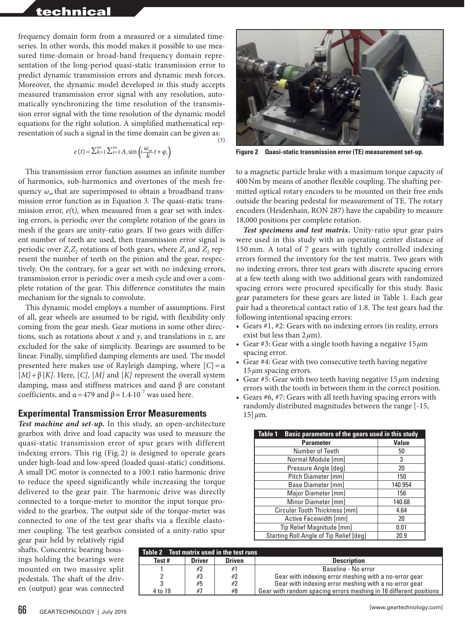# technical

frequency domain form from a measured or a simulated timeseries. In other words, this model makes it possible to use measured time-domain or broad-band frequency domain representation of the long-period quasi-static transmission error to predict dynamic transmission errors and dynamic mesh forces. Moreover, the dynamic model developed in this study accepts measured transmission error signal with any resolution, automatically synchronizing the time resolution of the transmission error signal with the time resolution of the dynamic model equations for the right solution. A simplified mathematical representation of such a signal in the time domain can be given as:

$$
e(t) = \sum_{k=1}^{\infty} \sum_{i=1}^{\infty} A_i \sin\left(i \frac{\omega_m}{k} t + \varphi_i\right)
$$

This transmission error function assumes an infinite number of harmonics, sub-harmonics and overtones of the mesh frequency  $\omega_m$  that are superimposed to obtain a broadband transmission error function as in Equation 3. The quasi-static transmission error, *e(*t*)*, when measured from a gear set with indexing errors, is periodic over the complete rotation of the gears in mesh if the gears are unity-ratio gears. If two gears with different number of teeth are used, then transmission error signal is periodic over  $Z_1Z_2$  rotations of both gears, where  $Z_1$  and  $Z_2$  represent the number of teeth on the pinion and the gear, respectively. On the contrary, for a gear set with no indexing errors, transmission error is periodic over a mesh cycle and over a complete rotation of the gear. This difference constitutes the main mechanism for the signals to convolute.

This dynamic model employs a number of assumptions. First of all, gear wheels are assumed to be rigid, with flexibility only coming from the gear mesh. Gear motions in some other directions, such as rotations about *x* and *y*, and translations in *z*, are excluded for the sake of simplicity. Bearings are assumed to be linear. Finally, simplified damping elements are used. The model presented here makes use of Rayleigh damping, where [*C*]=α [*M]*+β[*K]*. Here, [*C]*, [*M]* and [*K]* represent the overall system damping, mass and stiffness matrices and αand β are constant coefficients, and  $\alpha$  = 479 and  $\beta$  = 1.4·10<sup>-7</sup> was used here.

## **Experimental Transmission Error Measurements**

*Test machine and set*-*up.* In this study, an open-architecture gearbox with drive and load capacity was used to measure the quasi-static transmission error of spur gears with different indexing errors. This rig (Fig. 2) is designed to operate gears under high-load and low-speed (loaded quasi-static) conditions. A small DC motor is connected to a 100:1 ratio harmonic drive to reduce the speed significantly while increasing the torque delivered to the gear pair. The harmonic drive was directly connected to a torque-meter to monitor the input torque provided to the gearbox. The output side of the torque-meter was connected to one of the test gear shafts via a flexible elastomer coupling. The test gearbox consisted of a unity-ratio spur

gear pair held by relatively rigid shafts. Concentric bearing housings holding the bearings were mounted on two massive split pedestals. The shaft of the driven (output) gear was connected



**Figure 2 Quasi-static transmission error (TE) measurement set-up.**

to a magnetic particle brake with a maximum torque capacity of 400Nm by means of another flexible coupling. The shafting permitted optical rotary encoders to be mounted on their free ends outside the bearing pedestal for measurement of TE. The rotary encoders (Heidenhain, RON 287) have the capability to measure 18,000 positions per complete rotation.

*Test specimens and test matrix.* Unity-ratio spur gear pairs were used in this study with an operating center distance of 150 mm. A total of 7 gears with tightly controlled indexing errors formed the inventory for the test matrix. Two gears with no indexing errors, three test gears with discrete spacing errors at a few teeth along with two additional gears with randomized spacing errors were procured specifically for this study. Basic gear parameters for these gears are listed in Table 1. Each gear pair had a theoretical contact ratio of 1.8. The test gears had the following intentional spacing errors:

- Gears #1, #2: Gears with no indexing errors (in reality, errors exist but less than 2*μ*m).
- Gear #3: Gear with a single tooth having a negative 15*μ*m spacing error.
- Gear #4: Gear with two consecutive teeth having negative 15*μ*m spacing errors.
- Gear #5: Gear with two teeth having negative 15*μ*m indexing errors with the tooth in between them in the correct position.
- Gears #6, #7: Gears with all teeth having spacing errors with randomly distributed magnitudes between the range [-15, 15]*μ*m.

| Basic parameters of the gears used in this study<br>Table 1 |              |
|-------------------------------------------------------------|--------------|
| <b>Parameter</b>                                            | <b>Value</b> |
| Number of Teeth                                             | 50           |
| Normal Module [mm]                                          | 3            |
| Pressure Angle [deg]                                        | 20           |
| Pitch Diameter [mm]                                         | 150          |
| Base Diameter [mm]                                          | 140.954      |
| Major Diameter [mm]                                         | 156          |
| Minor Diameter [mm]                                         | 140.68       |
| Circular Tooth Thickness [mm]                               | 4.64         |
| Active Facewidth [mm]                                       | 20           |
| Tip Relief Magnitude [mm]                                   | 0.01         |
| Starting Roll Angle of Tip Relief [deg]                     | 20.9         |

| Table 2 Test matrix used in the test runs |               |               |                                                                   |
|-------------------------------------------|---------------|---------------|-------------------------------------------------------------------|
| Test #                                    | <b>Driver</b> | <b>Driven</b> | <b>Description</b>                                                |
|                                           | #2            | #1            | Baseline - No error                                               |
|                                           | #3            | #2            | Gear with indexing error meshing with a no-error gear             |
|                                           | #5            | #2            | Gear with indexing error meshing with a no-error gear             |
| 4 to 19                                   | #7            | #8            | Gear with random spacing errors meshing in 16 different positions |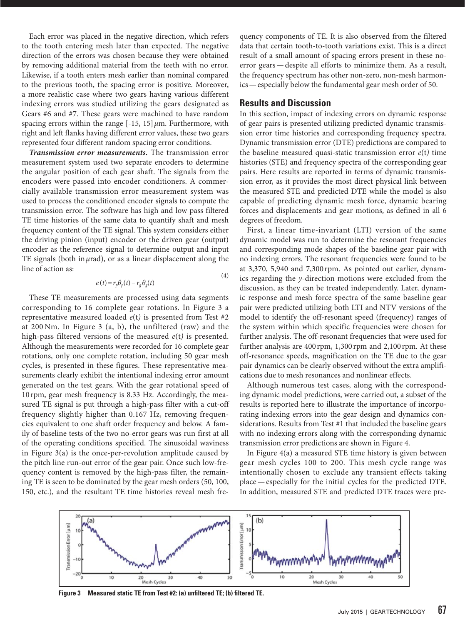Each error was placed in the negative direction, which refers to the tooth entering mesh later than expected. The negative direction of the errors was chosen because they were obtained by removing additional material from the teeth with no error. Likewise, if a tooth enters mesh earlier than nominal compared to the previous tooth, the spacing error is positive. Moreover, a more realistic case where two gears having various different indexing errors was studied utilizing the gears designated as Gears #6 and #7. These gears were machined to have random spacing errors within the range [-15, 15]*μ*m. Furthermore, with right and left flanks having different error values, these two gears represented four different random spacing error conditions.

*Transmission error measurements.* The transmission error measurement system used two separate encoders to determine the angular position of each gear shaft. The signals from the encoders were passed into encoder conditioners. A commercially available transmission error measurement system was used to process the conditioned encoder signals to compute the transmission error. The software has high and low pass filtered TE time histories of the same data to quantify shaft and mesh frequency content of the TE signal. This system considers either the driving pinion (input) encoder or the driven gear (output) encoder as the reference signal to determine output and input TE signals (both in  $\mu$ rad), or as a linear displacement along the line of action as:

$$
e(t) = r_p \theta_p(t) - r_g \theta_g(t)
$$
\n(4)

These TE measurements are processed using data segments corresponding to 16 complete gear rotations. In Figure 3 a representative measured loaded *e*(t*)* is presented from Test #2 at 200 Nm. In Figure 3 (a, b), the unfiltered (raw) and the high-pass filtered versions of the measured *e*(t*)* is presented. Although the measurements were recorded for 16 complete gear rotations, only one complete rotation, including 50 gear mesh cycles, is presented in these figures. These representative measurements clearly exhibit the intentional indexing error amount generated on the test gears. With the gear rotational speed of 10 rpm, gear mesh frequency is 8.33 Hz. Accordingly, the measured TE signal is put through a high-pass filter with a cut-off frequency slightly higher than 0.167 Hz, removing frequencies equivalent to one shaft order frequency and below. A family of baseline tests of the two no-error gears was run first at all of the operating conditions specified. The sinusoidal waviness in Figure 3(a) is the once-per-revolution amplitude caused by the pitch line run-out error of the gear pair. Once such low-frequency content is removed by the high-pass filter, the remaining TE is seen to be dominated by the gear mesh orders (50, 100, 150, etc.), and the resultant TE time histories reveal mesh frequency components of TE. It is also observed from the filtered data that certain tooth-to-tooth variations exist. This is a direct result of a small amount of spacing errors present in these noerror gears—despite all efforts to minimize them. As a result, the frequency spectrum has other non-zero, non-mesh harmonics—especially below the fundamental gear mesh order of 50.

### **Results and Discussion**

In this section, impact of indexing errors on dynamic response of gear pairs is presented utilizing predicted dynamic transmission error time histories and corresponding frequency spectra. Dynamic transmission error (DTE) predictions are compared to the baseline measured quasi-static transmission error *e*(t*)* time histories (STE) and frequency spectra of the corresponding gear pairs. Here results are reported in terms of dynamic transmission error, as it provides the most direct physical link between the measured STE and predicted DTE while the model is also capable of predicting dynamic mesh force, dynamic bearing forces and displacements and gear motions, as defined in all 6 degrees of freedom.

First, a linear time-invariant (LTI) version of the same dynamic model was run to determine the resonant frequencies and corresponding mode shapes of the baseline gear pair with no indexing errors. The resonant frequencies were found to be at 3,370, 5,940 and 7,300 rpm. As pointed out earlier, dynamics regarding the *y*-direction motions were excluded from the discussion, as they can be treated independently. Later, dynamic response and mesh force spectra of the same baseline gear pair were predicted utilizing both LTI and NTV versions of the model to identify the off-resonant speed (frequency) ranges of the system within which specific frequencies were chosen for further analysis. The off-resonant frequencies that were used for further analysis are 400 rpm, 1,300 rpm and 2,100 rpm. At these off-resonance speeds, magnification on the TE due to the gear pair dynamics can be clearly observed without the extra amplifications due to mesh resonances and nonlinear effects.

Although numerous test cases, along with the corresponding dynamic model predictions, were carried out, a subset of the results is reported here to illustrate the importance of incorporating indexing errors into the gear design and dynamics considerations. Results from Test #1 that included the baseline gears with no indexing errors along with the corresponding dynamic transmission error predictions are shown in Figure 4.

In Figure 4(a) a measured STE time history is given between gear mesh cycles 100 to 200. This mesh cycle range was intentionally chosen to exclude any transient effects taking place—especially for the initial cycles for the predicted DTE. In addition, measured STE and predicted DTE traces were pre-



**Figure 3 Measured static TE from Test #2: (a) unfiltered TE; (b) filtered TE.**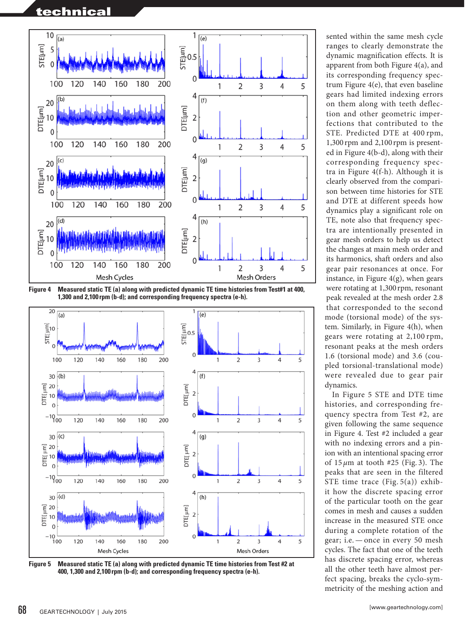# technical



**Figure 4 Measured static TE (a) along with predicted dynamic TE time histories from Test#1 at 400, 1,300 and 2,100 rpm (b-d); and corresponding frequency spectra (e-h).**



**Figure 5 Measured static TE (a) along with predicted dynamic TE time histories from Test #2 at 400, 1,300 and 2,100 rpm (b-d); and corresponding frequency spectra (e-h).**

sented within the same mesh cycle ranges to clearly demonstrate the dynamic magnification effects. It is apparent from both Figure 4(a), and its corresponding frequency spectrum Figure 4(e), that even baseline gears had limited indexing errors on them along with teeth deflection and other geometric imperfections that contributed to the STE. Predicted DTE at 400 rpm, 1,300 rpm and 2,100 rpm is presented in Figure 4(b-d), along with their corresponding frequency spectra in Figure 4(f-h). Although it is clearly observed from the comparison between time histories for STE and DTE at different speeds how dynamics play a significant role on TE, note also that frequency spectra are intentionally presented in gear mesh orders to help us detect the changes at main mesh order and its harmonics, shaft orders and also gear pair resonances at once. For instance, in Figure  $4(g)$ , when gears were rotating at 1,300 rpm, resonant peak revealed at the mesh order 2.8 that corresponded to the second mode (torsional mode) of the system. Similarly, in Figure 4(h), when gears were rotating at 2,100 rpm, resonant peaks at the mesh orders 1.6 (torsional mode) and 3.6 (coupled torsional-translational mode) were revealed due to gear pair dynamics.

In Figure 5 STE and DTE time histories, and corresponding frequency spectra from Test #2, are given following the same sequence in Figure 4. Test #2 included a gear with no indexing errors and a pinion with an intentional spacing error of 15 *μ*m at tooth #25 (Fig. 3). The peaks that are seen in the filtered STE time trace (Fig. 5(a)) exhibit how the discrete spacing error of the particular tooth on the gear comes in mesh and causes a sudden increase in the measured STE once during a complete rotation of the gear; i.e. — once in every 50 mesh cycles. The fact that one of the teeth has discrete spacing error, whereas all the other teeth have almost perfect spacing, breaks the cyclo-symmetricity of the meshing action and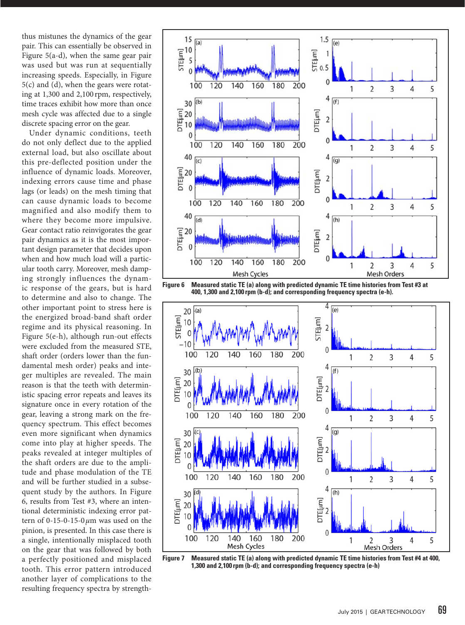thus mistunes the dynamics of the gear pair. This can essentially be observed in Figure 5(a-d), when the same gear pair was used but was run at sequentially increasing speeds. Especially, in Figure 5(c) and (d), when the gears were rotating at 1,300 and 2,100 rpm, respectively, time traces exhibit how more than once mesh cycle was affected due to a single discrete spacing error on the gear.

Under dynamic conditions, teeth do not only deflect due to the applied external load, but also oscillate about this pre-deflected position under the influence of dynamic loads. Moreover, indexing errors cause time and phase lags (or leads) on the mesh timing that can cause dynamic loads to become magnified and also modify them to where they become more impulsive. Gear contact ratio reinvigorates the gear pair dynamics as it is the most important design parameter that decides upon when and how much load will a particular tooth carry. Moreover, mesh damping strongly influences the dynamic response of the gears, but is hard to determine and also to change. The other important point to stress here is the energized broad-band shaft order regime and its physical reasoning. In Figure 5(e-h), although run-out effects were excluded from the measured STE, shaft order (orders lower than the fundamental mesh order) peaks and integer multiples are revealed. The main reason is that the teeth with deterministic spacing error repeats and leaves its signature once in every rotation of the gear, leaving a strong mark on the frequency spectrum. This effect becomes even more significant when dynamics come into play at higher speeds. The peaks revealed at integer multiples of the shaft orders are due to the amplitude and phase modulation of the TE and will be further studied in a subsequent study by the authors. In Figure 6, results from Test #3, where an intentional deterministic indexing error pattern of 0-15-0-15-0*μ*m was used on the pinion, is presented. In this case there is a single, intentionally misplaced tooth on the gear that was followed by both a perfectly positioned and misplaced tooth. This error pattern introduced another layer of complications to the resulting frequency spectra by strength-







**Figure 7 Measured static TE (a) along with predicted dynamic TE time histories from Test #4 at 400, 1,300 and 2,100 rpm (b-d); and corresponding frequency spectra (e-h)**